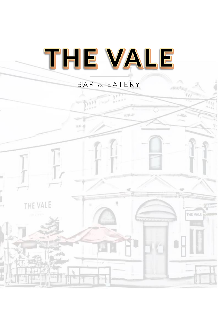

# BAR & EATERY

THE VALE

 $5311$ 

THE VALE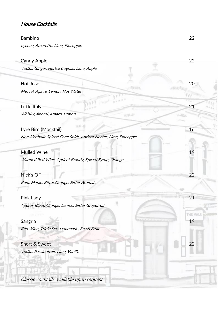### House Cocktails

#### Bambino 22

Lychee, Amaretto, Lime, Pineapple

| <b>Candy Apple</b>                                                | 22     |
|-------------------------------------------------------------------|--------|
| Vodka, Ginger, Herbal Cognac, Lime, Apple                         |        |
| Hot José                                                          | 20     |
| Mezcal, Agave, Lemon, Hot Water                                   |        |
| Little Italy                                                      | 21     |
| Whisky, Aperol, Amaro, Lemon<br>129 Feb                           |        |
| Lyre Bird (Mocktail)                                              | 16     |
| Non Alcoholic Spiced Cane Spirit, Apricot Nectar, Lime, Pineapple |        |
| <b>Mulled Wine</b>                                                | 19     |
| Warmed Red Wine, Apricot Brandy, Spiced Syrup, Orange             |        |
| Nick's OF                                                         | 22     |
| Rum, Maple, Bitter Orange, Bitter Aromats                         |        |
| Pink Lady                                                         | 21     |
| Aperol, Blood Orange, Lemon, Bitter Grapefruit                    |        |
|                                                                   | THE VA |
| Sangria<br>Red Wine, Triple Sec, Lemonade, Fresh Fruit            | 19     |
|                                                                   |        |
| Short & Sweet<br>Vodka, Passionfruit, Lime, Vanilla               | 22     |
|                                                                   |        |
|                                                                   |        |
| Classic cocktails available upon request                          |        |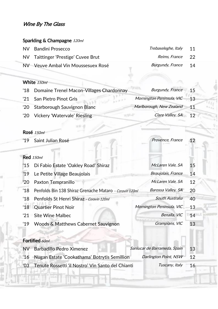#### Wine By The Glass

#### Sparkling & Champagne 120ml

| NV Bandini Prosecco                 | Trebaseleghe, Italy 11 |                 |
|-------------------------------------|------------------------|-----------------|
| NV Taittinger 'Prestige' Cuvee Brut | Reims, France 22       |                 |
| NV Veuve Ambal Vin Moussesuex Rosé  | Burgundy, France       | $\overline{14}$ |

#### White 150ml

| '18 Domaine Trenel Macon-Villages Chardonnay | Burgundy, France 15         |    |
|----------------------------------------------|-----------------------------|----|
| '21 San Pietro Pinot Gris                    | Mornington Peninsula, VIC   | 13 |
| '20 Starborough Sauvignon Blanc              | Marlborough, New Zealand 11 |    |
| '20 Vickery 'Watervale' Riesling             | Clare Valley, SA 12         |    |

#### Rosé 150ml

ł

| '19           | Saint Julian Rosé                                       | Provence, France          | 12 |
|---------------|---------------------------------------------------------|---------------------------|----|
|               |                                                         |                           |    |
|               | <b>Red</b> 150ml                                        |                           |    |
|               | '15 Di Fabio Estate 'Oakley Road' Shiraz                | McLaren Vale, SA          | 15 |
|               | '19 Le Petite Village Beaujolais                        | Beaujolais, France        | 14 |
| $^{\prime}20$ | Paxton Tempranillo                                      | McLaren Vale, SA          | 12 |
| $^{\prime}18$ | Penfolds Bin 138 Shiraz Grenache Mataro - Coravin 120ml | Barossa Valley, SA        | 20 |
|               | '18 Penfolds St Henri Shiraz - Coravin 120ml            | South Australia           | 40 |
|               | '18 Quartier Pinot Noir                                 | Mornington Peninsula, VIC | 13 |
| $^{\prime}21$ | <b>Site Wine Malbec</b>                                 | Benalla, VIC              | 14 |
| $^{\prime}19$ | <b>Woods &amp; Matthews Cabernet Sauvignon</b>          | Grampians, VIC            | 13 |
|               |                                                         |                           |    |
|               | Fortified 60ml                                          |                           |    |

## NV Barbadillo Pedro Ximenez Sanlucar de Barrameda, Spain 13 '16 Nugan Estate 'Cookathama' Botrytis Semillion Darlington Point, NSW 12 '03 Tenute Rossetti 'il Nostro' Vin Santo del Chianti Tuscany, Italy 16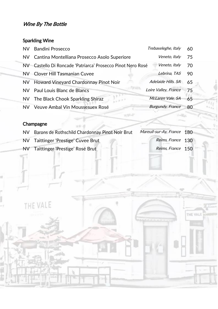## Sparkling Wine

| <b>NV</b> | <b>Bandini Prosecco</b>                                     | Trebaseleghe, Italy     | 60 |
|-----------|-------------------------------------------------------------|-------------------------|----|
|           | NV Cantina Montelliana Prosecco Asolo Superiore             | Veneto, Italy           | 75 |
|           | NV Castello Di Roncade 'Patriarca' Prosecco Pinot Nero Rosé | Veneto, Italy           | 70 |
|           | NV Clover Hill Tasmanian Cuvee                              | Lebrina, TAS            | 90 |
|           | NV Howard Vineyard Chardonnay Pinot Noir                    | Adelaide Hills. SA      | 65 |
| NV.       | Paul Louis Blanc de Blancs                                  | Loire Valley, France    | 75 |
|           | NV The Black Chook Sparkling Shiraz                         | McLaren Vale, SA        | 65 |
|           | NV Veuve Ambal Vin Moussesuex Rosé                          | <b>Burgundy, France</b> | 80 |
|           |                                                             |                         |    |

## Champagne

THE VALE

| NV Barons de Rothschild Chardonnay Pinot Noir Brut | Mareuil-sur-Ay, France 180 |  |
|----------------------------------------------------|----------------------------|--|
| NV Taittinger 'Prestige' Cuvee Brut                | Reims, France 130          |  |
| NV Taittinger 'Prestige' Rosé Brut                 | Reims, France 150          |  |
|                                                    |                            |  |

ö

THE VALE

si ti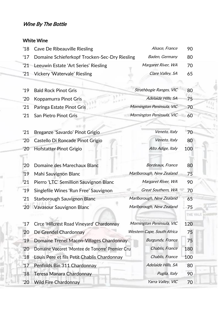### White Wine

| $^{\prime}18$ | <b>Cave De Ribeauville Riesling</b>             | Alsace, France             | 90       |  |
|---------------|-------------------------------------------------|----------------------------|----------|--|
| $^{\prime}17$ | Domaine Schieferkopf Trocken-Sec-Dry Riesling   | Baden, Germany             | 80       |  |
| '21           | Leeuwin Estate 'Art Series' Riesling            | Margaret River, WA         | 70       |  |
| '21           | Vickery 'Watervale' Riesling                    | Clare Valley, SA           | 65       |  |
|               |                                                 |                            |          |  |
| '19           | <b>Bald Rock Pinot Gris</b>                     | Strathbogie Ranges, VIC    | 80       |  |
| '20           | Koppamurra Pinot Gris                           | Adelaide Hills, SA         | 75       |  |
| '21           | Paringa Estate Pinot Gris                       | Mornington Peninsula, VIC  | 70       |  |
| '21           | San Pietro Pinot Gris                           | Mornington Peninsula, VIC  | 60       |  |
|               |                                                 |                            |          |  |
| '21           | Breganze 'Savardo' Pinot Grigio                 | Veneto, Italy              | 70       |  |
| $^{\prime}20$ | Castello Di Roncade Pinot Grigio                | Veneto, Italy              | 80       |  |
| $^{\prime}20$ | <b>Hofstatter Pinot Grigio</b>                  | Alto Adige, Italy          | 100      |  |
|               |                                                 |                            |          |  |
| '20           | Domaine des Marechaux Blanc                     | Bordeaux, France           | 80       |  |
| '19           | Mahi Sauvignon Blanc                            | Marlborough, New Zealand   | 75       |  |
| '21           | Pierro 'LTC' Semillion Sauvignon Blanc          | Margaret River, WA         | 90       |  |
| '19           | Singlefile Wines 'Run Free' Sauvignon           | Great Southern, WA         | 70       |  |
| '21           | Starborough Sauvignon Blanc                     | Marlborough, New Zealand   | 65       |  |
| '20           | Vavasour Sauvignon Blanc                        | Marlborough, New Zealand   | 75       |  |
|               |                                                 |                            | THE VALE |  |
| $^{\prime}17$ | Circe 'Hillcrest Road Vineyard' Chardonnay      | Mornington Peninsula, VIC  | 120      |  |
| '20           | De Grendel Chardonnay                           | Western Cape, South Africa | 75       |  |
| '19           | Domaine Trenel Macon-Villages Chardonnay        | <b>Burgundy, France</b>    | 75       |  |
| '20           | Domaine Vocoret 'Montee de Tonorre' Premier Cru | Chablis, France            | 180      |  |
| $^{\prime}18$ | Louis Pere et fils Petit Chablis Chardonnay     | Chablis, France            | 100      |  |
| '17           | Penfolds Bin 311 Chardonnay                     | Adelaide Hills, SA         | 80       |  |
| '18           | Teresa Manara Chardonnay                        | Puglia, Italy              | 90       |  |
| '20           | <b>Wild Fire Chardonnay</b>                     | Yarra Valley, VIC          | 70       |  |
|               |                                                 |                            |          |  |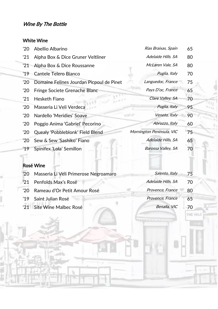#### White Wine

| '20           | Abellio Albarino                         | Rias Braixas, Spain        | 65 |
|---------------|------------------------------------------|----------------------------|----|
| '21           | Alpha Box & Dice Gruner Veltliner        | Adelaide Hills. SA         | 80 |
| '21           | Alpha Box & Dice Roussanne               | McLaren Vale, SA           | 80 |
| '19           | Cantele Telero Bianco                    | Puglia, Italy              | 70 |
| '20           | Domaine Felines Jourdan Picpoul de Pinet | Languedoc, France          | 75 |
| '20           | Fringe Societe Grenache Blanc            | Pays D'oc, France          | 65 |
| '21           | Hesketh Fiano                            | Clare Valley, SA           | 70 |
| '20           | Masseria Li Veli Verdeca                 | Puglia, Italy              | 95 |
| '20           | Nardello 'Meridies' Soave                | Veneto, Italy<br>$-11 - 1$ | 90 |
| $^{\prime}20$ | Poggio Anima 'Gabriel' Pecorino          | Abruzzo, Italy             | 60 |
| '20           | Quealy 'Pobbleblonk' Field Blend         | Mornington Peninsula, VIC  | 75 |
| '20           | Sew & Sew 'Sashiko' Fiano                | Adelaide Hills, SA         | 65 |
| '19           | Spinifex 'Lola' Semillon                 | Barossa Valley, SA         | 70 |
|               |                                          |                            |    |
|               | <b>Rosé Wine</b>                         |                            |    |
|               |                                          |                            |    |

| '20 Masseria Li Veli Primerose Negroamaro | Salento, Italy     | 75 |
|-------------------------------------------|--------------------|----|
| '21 Penfolds Max's Rosé                   | Adelaide Hills, SA | 70 |
| '20 Rameau d'Or Petit Amour Rosé          | Provence, France   | 80 |
| '19 Saint Julian Rosé                     | Provence, France   | 65 |
| '21 Site Wine Malbec Rosé                 | Benalla, VIC       | 70 |
|                                           |                    |    |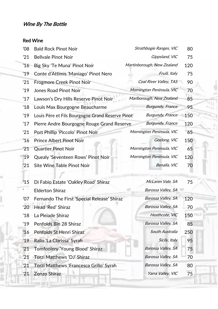## Red Wine

| '08           | <b>Bald Rock Pinot Noir</b>                      | Strathbogie Ranges, VIC    | 80  |  |
|---------------|--------------------------------------------------|----------------------------|-----|--|
| '21           | <b>Bellvale Pinot Noir</b>                       | Gippsland, VIC             | 75  |  |
| $^{\prime}16$ | Big Sky 'Te Muna' Pinot Noir                     | Martinborough, New Zealand | 120 |  |
| '19           | Conte d'Attimis 'Maniago' Pinot Nero             | Fruili, Italy              | 75  |  |
| '21           | <b>Frogmore Creek Pinot Noir</b>                 | Coal River Valley, TAS     | 90  |  |
| '19           | <b>Jones Road Pinot Noir</b>                     | Mornington Peninsula, VIC  | 70  |  |
| '17           | Lawson's Dry Hills Reserve Pinot Noir            | Marlborough, New Zealand   | 85  |  |
| $^{\prime}18$ | Louis Max Bourgogne Beaucharme                   | <b>Burgundy, France</b>    | 95  |  |
| '19           | Louis Père et Fils Bourgogne Grand Reserve Pinot | <b>Burgundy, France</b>    | 150 |  |
| '17           | Pierre Andre Bourgogne Rouge Grand Reserve       | <b>Burgundy, France</b>    | 120 |  |
| '21           | Port Phillip 'Piccolo' Pinot Noir                | Mornington Peninsula, VIC  | 65  |  |
| '16           | <b>Prince Albert Pinot Noir</b>                  | Geelong, VIC               | 150 |  |
| '21           | <b>Quartier Pinot Noir</b>                       | Mornington Peninsula, VIC  | 65  |  |
| '19           | Quealy 'Seventeen Rows' Pinot Noir               | Mornington Peninsula, VIC  | 120 |  |
| '21           | Site Wine Table Pinot Noir                       | Benalla, VIC               | 70  |  |
|               |                                                  |                            |     |  |
| '15           | Di Fabio Estate 'Oakley Road' Shiraz             | McLaren Vale, SA           | 75  |  |
|               | <b>Elderton Shiraz</b>                           | Barossa Valley, SA         |     |  |
| '07           | Fernando The First 'Special Release' Shiraz      | Barossa Valley, SA         | 120 |  |
| '20           | Head 'Red' Shiraz                                | Barossa Valley, SA         | 70  |  |
| $^{\prime}18$ | La Pleiade Shiraz                                | Heathcote, VIC             | 150 |  |
| '19           | Penfolds Bin 28 Shiraz                           | Barossa Valley, SA         | 85  |  |
| '16           | Penfolds St Henri Shiraz                         | South Australia            | 250 |  |
| '19           | Rallo 'La Clarissa' Syrah                        | Sicily, Italy              | 95  |  |
| '21           | Tomfoolery 'Young Blood' Shiraz                  | Barossa Valley, SA         | 75  |  |
| '21           | Torzi Matthews 'DJ' Shiraz                       | Barossa Valley, SA         | 70  |  |
| '21           | Torzi Matthews 'Francesca Grillo' Syrah          | Barossa Valley, SA         | 80  |  |
| '21           | Zonzo Shiraz                                     | Yarra Valley, VIC          | 75  |  |
|               |                                                  |                            |     |  |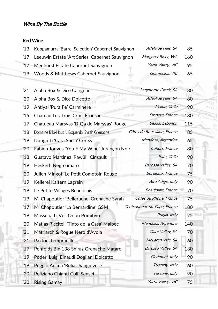#### Red Wine

y

| '13 Koppamurra 'Barrel Selection' Cabernet Sauvignon | Adelaide Hills, SA | 85  |
|------------------------------------------------------|--------------------|-----|
| '17 Leeuwin Estate 'Art Series' Cabernet Sauvignon   | Margaret River, WA | 160 |
| '17 Medhurst Estate Cabernet Sauvignon               | Yarra Valley, VIC  | 95  |
| '19 Woods & Matthews Cabernet Sauvignon              | Grampians, VIC     | 65  |

ä,

| '21           | Alpha Box & Dice Carignan                     | Langhorne Creek, SA            | 80  |  |
|---------------|-----------------------------------------------|--------------------------------|-----|--|
| '20           | Alpha Box & Dice Dolcetto                     | Adealide Hills, SA             | 80  |  |
| '19           | Antiyal 'Pura Fe' Carminere                   | Maipo, Chile                   | 90  |  |
| '15           | <b>Chateau Les Trois Croix Fronsac</b>        | Fronsac, France<br><b>RALL</b> | 130 |  |
| $^{\prime}17$ | Chatueau Marsyas 'B-Qa de Marsyas' Rouge      | Bekaa, Lebanon                 | 115 |  |
| '18           | Domaine Bila-Haut 'L'Esquerda' Syrah Grenache | Côtes du Roussillon, France    | 85  |  |
| '19           | Durigutti 'Cara Sucia' Cereza                 | Mendoza, Argentina             | 65  |  |
| '20           | Fabien Jouves 'You F My Wine' Jurançon Noir   | Cahors, France                 | 80  |  |
| '18           | Gustavo Martinez 'Rawüll' Cinsault            | Itata, Chile                   | 90  |  |
| '19           | Hesketh Negroamaro                            | Barossa Valley, SA             | 70  |  |
| '20           | Julien Mingot 'Le Petit Comptoir' Rouge       | Bordeaux, France               | 75  |  |
| '19           | Kellerei Kaltern Lagrein                      | Alto Adige, Italy              | 90  |  |
| '19           | Le Petite Villages Beaujolais                 | Beaujolais, France             | 70  |  |
| '19           | M. Chapoutier 'Belleruche' Grenache Syrah     | Côtes du Rhone, France         | 75  |  |
| '17           | M. Chapoutier 'La Bernardine' GSM             | Chateauneuf-du-Pape, France    | 180 |  |
| '19           | Masseria Li Veli Orion Primitivo              | Puglia, Italy                  | 75  |  |
| '20           | Matias Ricciteli 'Tinto de la Casa' Malbec    | Mendoza, Argentina             | 140 |  |
| '21           | Matriarch & Rogue Nero d'Avola                | Clare Valley, SA               | 70  |  |
| '21           | Paxton Tempranillo                            | McLaren Vale, SA               | 60  |  |
| 17            | Penfolds Bin 138 Shiraz Grenache Mataro       | Barossa Valley, SA             | 130 |  |
| '19           | Poderi Luigi Einaudi Dogliani Dolcetto        | Piedmont, Italy                | 90  |  |
| '19           | Poggio Anima 'Belial' Sangiovese              | Tuscany, Italy                 | 60  |  |
| '20           | Poliziano Chianti Colli Sensei                | Tuscany, Italy                 | 90  |  |
| '20           | <b>Rising Gamay</b>                           | Yarra Valley, VIC              | 75  |  |
|               |                                               |                                |     |  |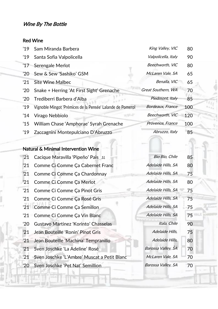#### Red Wine

| '19           | Sam Miranda Barbera                                        | King Valley, VIC    | 80  |
|---------------|------------------------------------------------------------|---------------------|-----|
| '19           | Santa Sofia Valpolicella                                   | Valpolicella, Italy | 90  |
| $^{\prime}17$ | Serengale Merlot                                           | Beechworth, VIC     | 80  |
| '20           | Sew & Sew 'Sashiko' GSM                                    | McLaren Vale, SA    | 65  |
| $^{\prime}21$ | <b>Site Wine Malbec</b>                                    | Benalla, VIC        | 65  |
| $^{\prime}20$ | Snake + Herring 'At First Sight' Grenache                  | Great Southern, WA  | 70  |
| $^{\prime}20$ | Trediberri Barbera d'Alba                                  | Piedmont, Italy     | 85  |
| '19           | Vignoble Mingot 'Prémices de la Pensée' Lalande de Pomerol | Bordeaux, France    | 100 |
| $^{\prime}14$ | Virago Nebbiolo                                            | Beechworth, VIC     | 120 |
| '15           | William Chase 'Amphorae' Syrah Grenache                    | Provence, France    | 100 |
| '19           | Zaccagnini Montepulciano D'Abruzzo                         | Abruzzo, Italy      | 85  |

# Natural & Minimal Intervention Wine

| '21           | Cacique Maravilla 'Pipeño' Pais 11          | Bio Bio, Chile     | 85 |
|---------------|---------------------------------------------|--------------------|----|
| '21           | Comme Ci Comme Ça Cabernet Franc            | Adelaide Hills, SA | 80 |
| '21           | Comme Ci Comme Ça Chardonnay                | Adelaide Hills, SA | 75 |
| '21           | Comme Ci Comme Ça Merlot                    | Adelaide Hills, SA | 80 |
| '21           | Comme Ci Comme Ça Pinot Gris                | Adelaide Hills, SA | 75 |
| '21           | Comme Ci Comme Ça Rosé Gris                 | Adelaide Hills, SA | 75 |
|               | '21 Comme Ci Comme Ça Semillon              | Adelaide Hills, SA | 75 |
|               | '21 Comme Ci Comme Ça Vin Blanc             | Adelaide Hills, SA | 75 |
| $^{\prime}20$ | Gustavo Martinez 'Korinto' Chasselas        | Itala, Chile       | 90 |
| '21           | Jean Bouteille 'Ronin' Pinot Gris           | Adelaide Hills,    | 75 |
| '21'          | Jean Bouteille 'Machina' Tempranillo        | Adelaide Hills,    | 80 |
| '21           | Sven Joschke 'La Adeline' Rosé              | Barossa Valley, SA | 70 |
| '21           | Sven Joschke 'L'Ambre' Muscat a Petit Blanc | McLaren Vale, SA   | 70 |
| '20           | Sven Joschke 'Pet Nat' Semillion            | Barossa Valley, SA | 70 |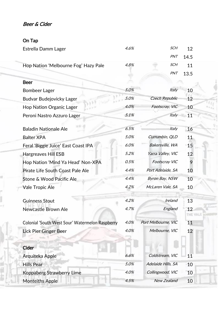## Beer & Cider

## On Tap

| Estrella Damm Lager                             | 4.6% | SCH                   | 12              |  |
|-------------------------------------------------|------|-----------------------|-----------------|--|
|                                                 |      | PNT                   | 14.5            |  |
| Hop Nation 'Melbourne Fog' Hazy Pale            | 4.8% | <b>SCH</b>            | 11              |  |
|                                                 |      | PNT                   | 13.5            |  |
| <b>Beer</b>                                     |      |                       |                 |  |
| <b>Bombeer Lager</b>                            | 5.0% | Italy                 | 10              |  |
| Budvar Budejovicky Lager                        | 5.0% | <b>Czech Republic</b> | 12              |  |
| <b>Hop Nation Organic Lager</b>                 | 4.0% | Footscray, VIC        | 10              |  |
| Peroni Nastro Azzuro Lager                      | 5.1% | <b>Italy</b>          | 11              |  |
|                                                 |      |                       |                 |  |
| <b>Baladin Nationale Ale</b>                    | 6.5% | Italy                 | 16              |  |
| <b>Balter XPA</b>                               | 5.0% | Currumbin, QLD        | 11              |  |
| Feral 'Biggie Juice' East Coast IPA             | 6.0% | Bakersville, WA       | 15              |  |
| Hargreaves Hill ESB                             | 5.2% | Yarra Valley, VIC     | 12 <sup>2</sup> |  |
| Hop Nation 'Mind Ya Head' Non-XPA               | 0.5% | <b>Footscray VIC</b>  | 9               |  |
| Pirate Life South Coast Pale Ale                | 4.4% | Port Adelaide, SA     | 10              |  |
| Stone & Wood Pacific Ale                        | 4.4% | <b>Byron Bay, NSW</b> | 10              |  |
| Vale Tropic Ale                                 | 4.2% | McLaren Vale, SA      | 10              |  |
| <b>Guinness Stout</b>                           | 4.2% | Ireland               | 13              |  |
|                                                 | 4.7% |                       |                 |  |
| Newcastle Brown Ale                             |      | England               | 12<br>THE VALE  |  |
| Colonial 'South West Sour' Watermelon Raspberry | 4.0% | Port Melbourne, VIC   | 11              |  |
| Lick Pier Ginger Beer                           | 4.0% | Melbourne, VIC        | 12 <sup>2</sup> |  |
|                                                 |      |                       |                 |  |
| Cider                                           |      |                       |                 |  |
| Arquiteka Apple                                 | 6.6% | Coldstream, VIC       | 11              |  |
| <b>Hills Pear</b>                               | 5.0% | Adelaide Hills, SA    | 10              |  |
| Koppaberg Strawberry Lime                       | 4.0% | Collingwood, VIC      | 10              |  |
| <b>Monteiths Apple</b>                          | 4.5% | <b>New Zealand</b>    | 10              |  |
|                                                 |      |                       |                 |  |

 $\ell$ Υü,

ч

sipol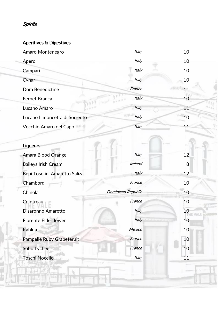# Spirits

### Aperitives & Digestives

| Amaro Montenegro              | <b>Italy</b>       | 10 |
|-------------------------------|--------------------|----|
| Aperol                        | Italy              | 10 |
| Campari                       | Italy              | 10 |
| Cynar                         | Italy              | 10 |
| Dom Benedictine               | France             | 11 |
| Fernet Branca                 | Italy              | 10 |
| Lucano Amaro                  | Italy              | 11 |
| Lucano Limoncetta di Sorrento | Italy              | 10 |
| Vecchio Amaro del Capo        | Italy              | 11 |
|                               |                    |    |
| <b>Liqueurs</b>               |                    |    |
| <b>Amara Blood Orange</b>     | Italy              | 12 |
| <b>Baileys Irish Cream</b>    | Ireland            | 8  |
| Bepi Tosolini Amaretto Saliza | Italy              | 12 |
| Chambord                      | France             | 10 |
| Chinola                       | Dominican Republic | 10 |
| Cointreau                     | France             | 10 |
| Disaronno Amaretto            | Italy              | 10 |
| <b>Fiorente Elderflower</b>   | Italy              | 10 |
| Kahlua                        | Mexico             | 10 |
| Pampelle Ruby Grapeferuit     | France             | 10 |
| Soho Lychee                   | France             | 10 |
| <b>Toschi Nocello</b>         | Italy              | 11 |
|                               |                    |    |
|                               |                    |    |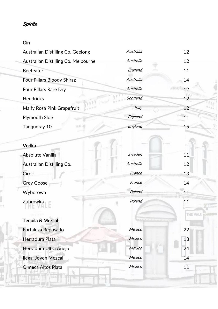#### Spirits

#### Gin

| Australian Distilling Co. Geelong   | Australia    | 12 |
|-------------------------------------|--------------|----|
| Australian Distilling Co. Melbourne | Australia    | 12 |
| <b>Beefeater</b>                    | England      | 11 |
| <b>Four Pillars Bloody Shiraz</b>   | Australia    | 14 |
| <b>Four Pillars Rare Dry</b>        | Australia    | 12 |
| <b>Hendricks</b>                    | Scotland     | 12 |
| <b>Malfy Rosa Pink Grapefruit</b>   | <i>Italy</i> | 12 |
| <b>Plymouth Sloe</b>                | England      | 11 |
| Tangueray 10                        | England      | 15 |

 $\frac{1}{2}$ 

# Vodka Absolute Vanilla 11 and 12 Sweden 11 Australian Distilling Co. Australia 12 Ciroc France 13 Grey Goose France France 14 Wyborowa 21 Poland 21 Poland 21 Poland 21 Poland 21 Poland 21 Poland 21 Poland 21 Poland 21 Poland 21 Poland 21 Poland 21 Poland 21 Poland 21 Poland 21 Poland 21 Poland 21 Poland 21 Poland 21 Poland 21 Poland 21 Poland 21 Zubrowka 2008 Poland 2008 Poland 2008 Poland 21 THE VALE Tequila & Mezcal **Fortaleza Reposado** *Mexico* 22 **Herradura Plata** Mexico 13 **Herradura Ultra Anejo** 24 **Ilegal Joven Mezcal Mexico** Mexico 14 **Olmeca Altos Plata** Mexico 211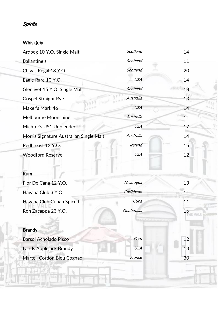# Spirits

## Whisk(e)y

Ŧ

| Ardbeg 10 Y.O. Single Malt              | Scotland   | 14             |
|-----------------------------------------|------------|----------------|
| <b>Ballantine's</b>                     | Scotland   | 11             |
| Chivas Regal 18 Y.O.                    | Scotland   | 20             |
| Eagle Rare 10 Y.O.                      | <b>USA</b> | 14             |
| Glenlivet 15 Y.O. Single Malt           | Scotland   | 18             |
| <b>Gospel Straight Rye</b>              | Australia  | 13             |
| Maker's Mark 46                         | <b>USA</b> | 14             |
| <b>Melbourne Moonshine</b>              | Australia  | 11             |
| Michter's US1 Unblended                 | <b>USA</b> | 17             |
| Morris Signature Australian Single Malt | Australia  | 14             |
| Redbreast 12 Y.O.                       | Ireland    | 15             |
| <b>Woodford Reserve</b>                 | <b>USA</b> | 12             |
|                                         |            |                |
| <b>Rum</b>                              |            |                |
| Flor De Cana 12 Y.O.                    | Nicaragua  | 13             |
| Havana Club 3 Y.O.                      | Caribbean  | 11             |
| Havana Club Cuban Spiced                | Cuba       | 11             |
| Ron Zacappa 23 Y.O.                     | Guatemala  | 16<br>THE VALE |
|                                         |            |                |
| <b>Brandy</b>                           |            |                |
| <b>Barsol Acholado Pisco</b>            | Peru       | 12             |
| Lairds Applejack Brandy                 | <b>USA</b> | 13             |
| Martell Cordon Bleu Cognac              | France     | 30             |
|                                         |            |                |

ĸ